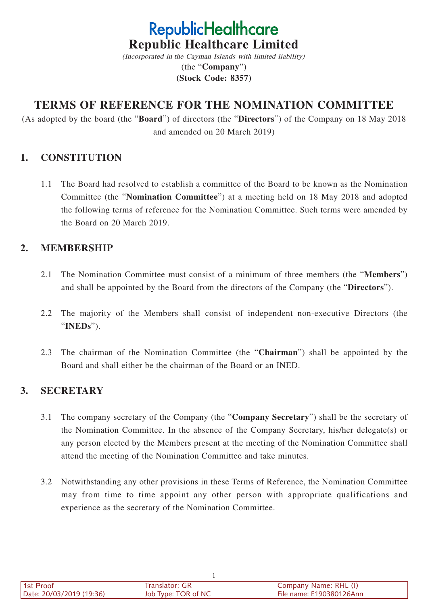# **RepublicHealthcare Republic Healthcare Limited**

(Incorporated in the Cayman Islands with limited liability) (the "**Company**") **(Stock Code: 8357)**

# **TERMS OF REFERENCE FOR THE NOMINATION COMMITTEE**

(As adopted by the board (the "**Board**") of directors (the "**Directors**") of the Company on 18 May 2018 and amended on 20 March 2019)

## **1. CONSTITUTION**

1.1 The Board had resolved to establish a committee of the Board to be known as the Nomination Committee (the "**Nomination Committee**") at a meeting held on 18 May 2018 and adopted the following terms of reference for the Nomination Committee. Such terms were amended by the Board on 20 March 2019.

## **2. MEMBERSHIP**

- 2.1 The Nomination Committee must consist of a minimum of three members (the "**Members**") and shall be appointed by the Board from the directors of the Company (the "**Directors**").
- 2.2 The majority of the Members shall consist of independent non-executive Directors (the "**INEDs**").
- 2.3 The chairman of the Nomination Committee (the "**Chairman**") shall be appointed by the Board and shall either be the chairman of the Board or an INED.

# **3. SECRETARY**

- 3.1 The company secretary of the Company (the "**Company Secretary**") shall be the secretary of the Nomination Committee. In the absence of the Company Secretary, his/her delegate(s) or any person elected by the Members present at the meeting of the Nomination Committee shall attend the meeting of the Nomination Committee and take minutes.
- 3.2 Notwithstanding any other provisions in these Terms of Reference, the Nomination Committee may from time to time appoint any other person with appropriate qualifications and experience as the secretary of the Nomination Committee.

| l 1st Proof              | Translator: GR      | Company Name: RHL (I)    |
|--------------------------|---------------------|--------------------------|
| Date: 20/03/2019 (19:36) | Job Type: TOR of NC | File name: E190380126Ann |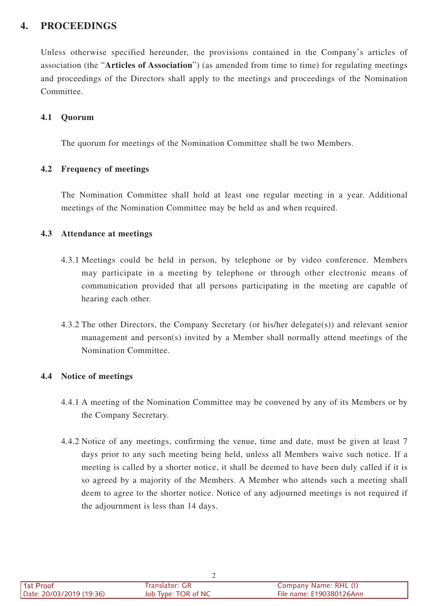# **4. PROCEEDINGS**

Unless otherwise specified hereunder, the provisions contained in the Company's articles of association (the "**Articles of Association**") (as amended from time to time) for regulating meetings and proceedings of the Directors shall apply to the meetings and proceedings of the Nomination Committee.

#### **4.1 Quorum**

The quorum for meetings of the Nomination Committee shall be two Members.

#### **4.2 Frequency of meetings**

The Nomination Committee shall hold at least one regular meeting in a year. Additional meetings of the Nomination Committee may be held as and when required.

#### **4.3 Attendance at meetings**

- 4.3.1 Meetings could be held in person, by telephone or by video conference. Members may participate in a meeting by telephone or through other electronic means of communication provided that all persons participating in the meeting are capable of hearing each other.
- 4.3.2 The other Directors, the Company Secretary (or his/her delegate(s)) and relevant senior management and person(s) invited by a Member shall normally attend meetings of the Nomination Committee.

#### **4.4 Notice of meetings**

- 4.4.1 A meeting of the Nomination Committee may be convened by any of its Members or by the Company Secretary.
- 4.4.2 Notice of any meetings, confirming the venue, time and date, must be given at least 7 days prior to any such meeting being held, unless all Members waive such notice. If a meeting is called by a shorter notice, it shall be deemed to have been duly called if it is so agreed by a majority of the Members. A Member who attends such a meeting shall deem to agree to the shorter notice. Notice of any adjourned meetings is not required if the adjournment is less than 14 days.

| 1st Proof                | Franslator: GR      | Company Name: RHL (I)    |
|--------------------------|---------------------|--------------------------|
| Date: 20/03/2019 (19:36) | Job Type: TOR of NC | File name: E190380126Ann |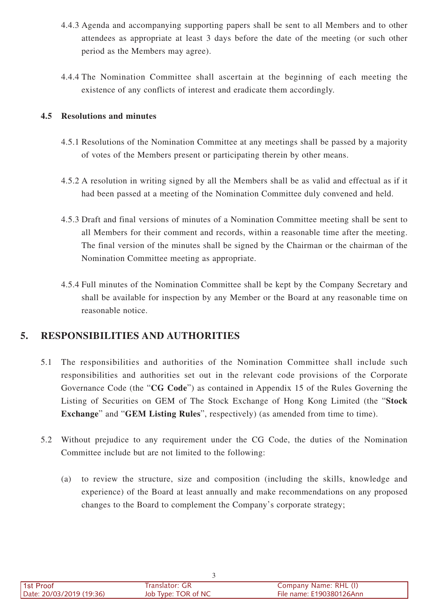- 4.4.3 Agenda and accompanying supporting papers shall be sent to all Members and to other attendees as appropriate at least 3 days before the date of the meeting (or such other period as the Members may agree).
- 4.4.4 The Nomination Committee shall ascertain at the beginning of each meeting the existence of any conflicts of interest and eradicate them accordingly.

#### **4.5 Resolutions and minutes**

- 4.5.1 Resolutions of the Nomination Committee at any meetings shall be passed by a majority of votes of the Members present or participating therein by other means.
- 4.5.2 A resolution in writing signed by all the Members shall be as valid and effectual as if it had been passed at a meeting of the Nomination Committee duly convened and held.
- 4.5.3 Draft and final versions of minutes of a Nomination Committee meeting shall be sent to all Members for their comment and records, within a reasonable time after the meeting. The final version of the minutes shall be signed by the Chairman or the chairman of the Nomination Committee meeting as appropriate.
- 4.5.4 Full minutes of the Nomination Committee shall be kept by the Company Secretary and shall be available for inspection by any Member or the Board at any reasonable time on reasonable notice.

# **5. RESPONSIBILITIES AND AUTHORITIES**

- 5.1 The responsibilities and authorities of the Nomination Committee shall include such responsibilities and authorities set out in the relevant code provisions of the Corporate Governance Code (the "**CG Code**") as contained in Appendix 15 of the Rules Governing the Listing of Securities on GEM of The Stock Exchange of Hong Kong Limited (the "**Stock Exchange**" and "**GEM Listing Rules**", respectively) (as amended from time to time).
- 5.2 Without prejudice to any requirement under the CG Code, the duties of the Nomination Committee include but are not limited to the following:
	- (a) to review the structure, size and composition (including the skills, knowledge and experience) of the Board at least annually and make recommendations on any proposed changes to the Board to complement the Company's corporate strategy;

| l 1st Proof<br>Date: 20/03/2019 (19:36) | Translator: GR<br>Job Type: TOR of NC | Company Name: RHL (I)<br>File name: E190380126Ann |
|-----------------------------------------|---------------------------------------|---------------------------------------------------|
|                                         |                                       |                                                   |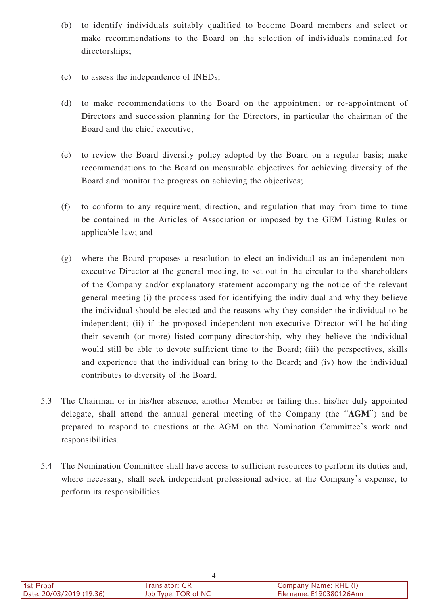- (b) to identify individuals suitably qualified to become Board members and select or make recommendations to the Board on the selection of individuals nominated for directorships;
- (c) to assess the independence of INEDs;
- (d) to make recommendations to the Board on the appointment or re-appointment of Directors and succession planning for the Directors, in particular the chairman of the Board and the chief executive;
- (e) to review the Board diversity policy adopted by the Board on a regular basis; make recommendations to the Board on measurable objectives for achieving diversity of the Board and monitor the progress on achieving the objectives;
- (f) to conform to any requirement, direction, and regulation that may from time to time be contained in the Articles of Association or imposed by the GEM Listing Rules or applicable law; and
- (g) where the Board proposes a resolution to elect an individual as an independent nonexecutive Director at the general meeting, to set out in the circular to the shareholders of the Company and/or explanatory statement accompanying the notice of the relevant general meeting (i) the process used for identifying the individual and why they believe the individual should be elected and the reasons why they consider the individual to be independent; (ii) if the proposed independent non-executive Director will be holding their seventh (or more) listed company directorship, why they believe the individual would still be able to devote sufficient time to the Board; (iii) the perspectives, skills and experience that the individual can bring to the Board; and (iv) how the individual contributes to diversity of the Board.
- 5.3 The Chairman or in his/her absence, another Member or failing this, his/her duly appointed delegate, shall attend the annual general meeting of the Company (the "**AGM**") and be prepared to respond to questions at the AGM on the Nomination Committee's work and responsibilities.
- 5.4 The Nomination Committee shall have access to sufficient resources to perform its duties and, where necessary, shall seek independent professional advice, at the Company's expense, to perform its responsibilities.

| l 1st Proof              | Translator: GR      | Company Name: RHL (I)    |
|--------------------------|---------------------|--------------------------|
| Date: 20/03/2019 (19:36) | Job Type: TOR of NC | File name: E190380126Ann |